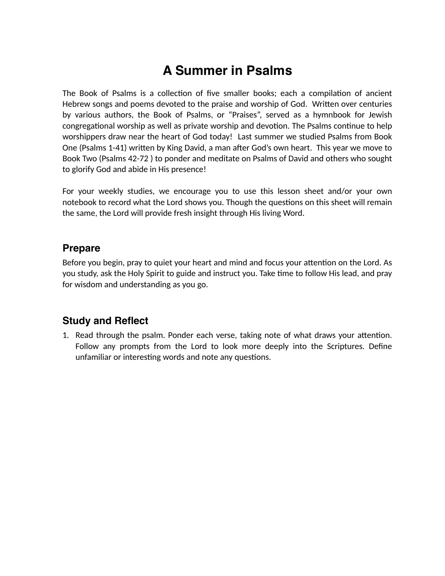## **A Summer in Psalms**

The Book of Psalms is a collection of five smaller books; each a compilation of ancient Hebrew songs and poems devoted to the praise and worship of God. Written over centuries by various authors, the Book of Psalms, or "Praises", served as a hymnbook for Jewish congregational worship as well as private worship and devotion. The Psalms continue to help worshippers draw near the heart of God today! Last summer we studied Psalms from Book One (Psalms 1-41) written by King David, a man after God's own heart. This year we move to Book Two (Psalms 42-72 ) to ponder and meditate on Psalms of David and others who sought to glorify God and abide in His presence!

For your weekly studies, we encourage you to use this lesson sheet and/or your own notebook to record what the Lord shows you. Though the questions on this sheet will remain the same, the Lord will provide fresh insight through His living Word.

## **Prepare**

Before you begin, pray to quiet your heart and mind and focus your attention on the Lord. As you study, ask the Holy Spirit to guide and instruct you. Take time to follow His lead, and pray for wisdom and understanding as you go.

## **Study and Reflect**

1. Read through the psalm. Ponder each verse, taking note of what draws your attention. Follow any prompts from the Lord to look more deeply into the Scriptures. Define unfamiliar or interesting words and note any questions.